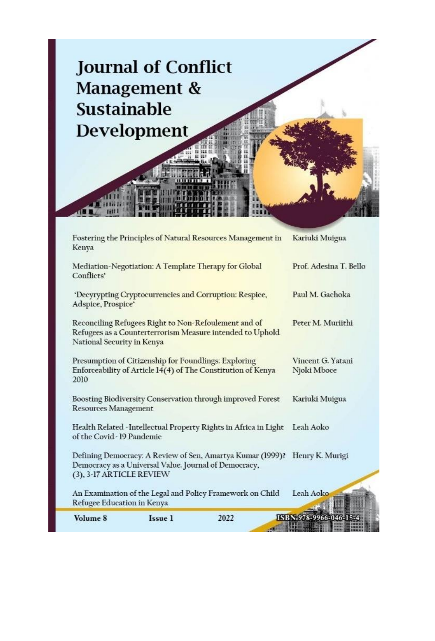

| Volume 8                                                                          | Issue 1 | 2022                                                                                                              | ISBN 978-9966-046-15-            |  |
|-----------------------------------------------------------------------------------|---------|-------------------------------------------------------------------------------------------------------------------|----------------------------------|--|
| Refugee Education in Kenya                                                        |         | An Examination of the Legal and Policy Framework on Child                                                         | Leah Aoko                        |  |
| Democracy as a Universal Value. Journal of Democracy,<br>(3), 3-17 ARTICLE REVIEW |         | Defining Democracy: A Review of Sen, Amartya Kumar (1999)?                                                        | Henry K. Murigi                  |  |
| of the Covid-19 Pandemic                                                          |         | Health Related -Intellectual Property Rights in Africa in Light Leah Aoko                                         |                                  |  |
| <b>Resources Management</b>                                                       |         | Boosting Biodiversity Conservation through improved Forest                                                        | Kariuki Muigua                   |  |
| Presumption of Citizenship for Foundlings: Exploring<br>2010                      |         | Enforceability of Article 14(4) of The Constitution of Kenya                                                      | Vincent G. Yatani<br>Njoki Mboce |  |
| National Security in Kenya                                                        |         | Reconciling Refugees Right to Non-Refoulement and of<br>Refugees as a Counterterrorism Measure intended to Uphold | Peter M. Muriithi                |  |
| Adspice, Prospice'                                                                |         | 'Decyrypting Cryptocurrencies and Corruption: Respice,                                                            | Paul M. Gachoka                  |  |
| Conflicts'                                                                        |         | Mediation-Negotiation: A Template Therapy for Global                                                              | Prof. Adesina T. Bello           |  |
| Kenya                                                                             |         | Fostering the Principles of Natural Resources Management in                                                       | Kariuki Muigua                   |  |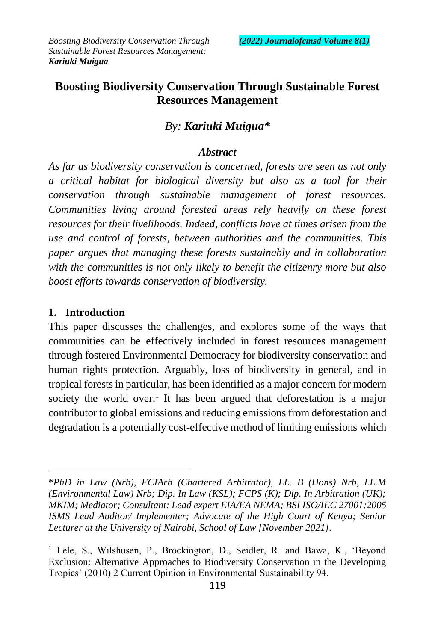# **Boosting Biodiversity Conservation Through Sustainable Forest Resources Management**

# *By: Kariuki Muigua\**

#### *Abstract*

*As far as biodiversity conservation is concerned, forests are seen as not only a critical habitat for biological diversity but also as a tool for their conservation through sustainable management of forest resources. Communities living around forested areas rely heavily on these forest resources for their livelihoods. Indeed, conflicts have at times arisen from the use and control of forests, between authorities and the communities. This paper argues that managing these forests sustainably and in collaboration with the communities is not only likely to benefit the citizenry more but also boost efforts towards conservation of biodiversity.* 

### **1. Introduction**

 $\overline{a}$ 

This paper discusses the challenges, and explores some of the ways that communities can be effectively included in forest resources management through fostered Environmental Democracy for biodiversity conservation and human rights protection. Arguably, loss of biodiversity in general, and in tropical forests in particular, has been identified as a major concern for modern society the world over.<sup>1</sup> It has been argued that deforestation is a major contributor to global emissions and reducing emissions from deforestation and degradation is a potentially cost-effective method of limiting emissions which

<sup>\*</sup>*PhD in Law (Nrb), FCIArb (Chartered Arbitrator), LL. B (Hons) Nrb, LL.M (Environmental Law) Nrb; Dip. In Law (KSL); FCPS (K); Dip. In Arbitration (UK); MKIM; Mediator; Consultant: Lead expert EIA/EA NEMA; BSI ISO/IEC 27001:2005 ISMS Lead Auditor/ Implementer; Advocate of the High Court of Kenya; Senior Lecturer at the University of Nairobi, School of Law [November 2021].*

<sup>&</sup>lt;sup>1</sup> Lele, S., Wilshusen, P., Brockington, D., Seidler, R. and Bawa, K., 'Beyond Exclusion: Alternative Approaches to Biodiversity Conservation in the Developing Tropics' (2010) 2 Current Opinion in Environmental Sustainability 94.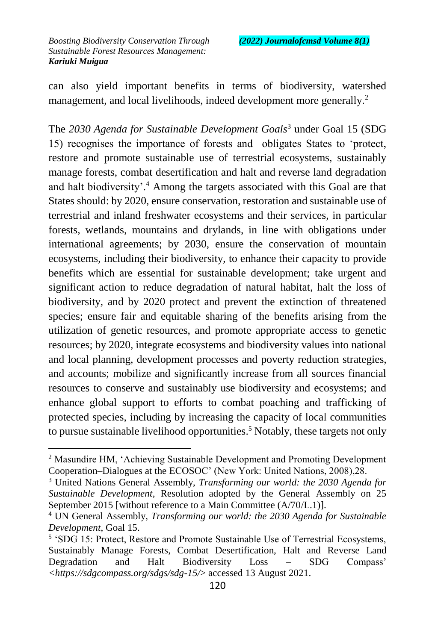$\overline{a}$ 

can also yield important benefits in terms of biodiversity, watershed management, and local livelihoods, indeed development more generally.<sup>2</sup>

The *2030 Agenda for Sustainable Development Goals*<sup>3</sup> under Goal 15 (SDG 15) recognises the importance of forests and obligates States to 'protect, restore and promote sustainable use of terrestrial ecosystems, sustainably manage forests, combat desertification and halt and reverse land degradation and halt biodiversity'.<sup>4</sup> Among the targets associated with this Goal are that States should: by 2020, ensure conservation, restoration and sustainable use of terrestrial and inland freshwater ecosystems and their services, in particular forests, wetlands, mountains and drylands, in line with obligations under international agreements; by 2030, ensure the conservation of mountain ecosystems, including their biodiversity, to enhance their capacity to provide benefits which are essential for sustainable development; take urgent and significant action to reduce degradation of natural habitat, halt the loss of biodiversity, and by 2020 protect and prevent the extinction of threatened species; ensure fair and equitable sharing of the benefits arising from the utilization of genetic resources, and promote appropriate access to genetic resources; by 2020, integrate ecosystems and biodiversity values into national and local planning, development processes and poverty reduction strategies, and accounts; mobilize and significantly increase from all sources financial resources to conserve and sustainably use biodiversity and ecosystems; and enhance global support to efforts to combat poaching and trafficking of protected species, including by increasing the capacity of local communities to pursue sustainable livelihood opportunities.<sup>5</sup> Notably, these targets not only

<sup>2</sup> Masundire HM, 'Achieving Sustainable Development and Promoting Development Cooperation–Dialogues at the ECOSOC' (New York: United Nations, 2008),28.

<sup>3</sup> United Nations General Assembly, *Transforming our world: the 2030 Agenda for Sustainable Development*, Resolution adopted by the General Assembly on 25 September 2015 [without reference to a Main Committee (A/70/L.1)].

<sup>4</sup> UN General Assembly, *Transforming our world: the 2030 Agenda for Sustainable Development*, Goal 15.

<sup>&</sup>lt;sup>5</sup> 'SDG 15: Protect, Restore and Promote Sustainable Use of Terrestrial Ecosystems, Sustainably Manage Forests, Combat Desertification, Halt and Reverse Land Degradation and Halt Biodiversity Loss – SDG Compass' *<https://sdgcompass.org/sdgs/sdg-15/*> accessed 13 August 2021.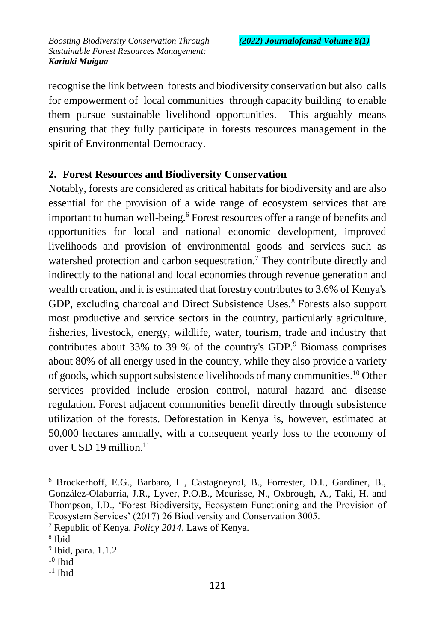recognise the link between forests and biodiversity conservation but also calls for empowerment of local communities through capacity building to enable them pursue sustainable livelihood opportunities. This arguably means ensuring that they fully participate in forests resources management in the spirit of Environmental Democracy.

#### **2. Forest Resources and Biodiversity Conservation**

Notably, forests are considered as critical habitats for biodiversity and are also essential for the provision of a wide range of ecosystem services that are important to human well-being.<sup>6</sup> Forest resources offer a range of benefits and opportunities for local and national economic development, improved livelihoods and provision of environmental goods and services such as watershed protection and carbon sequestration.<sup>7</sup> They contribute directly and indirectly to the national and local economies through revenue generation and wealth creation, and it is estimated that forestry contributes to 3.6% of Kenya's GDP, excluding charcoal and Direct Subsistence Uses.<sup>8</sup> Forests also support most productive and service sectors in the country, particularly agriculture, fisheries, livestock, energy, wildlife, water, tourism, trade and industry that contributes about 33% to 39 % of the country's GDP. $9$  Biomass comprises about 80% of all energy used in the country, while they also provide a variety of goods, which support subsistence livelihoods of many communities.<sup>10</sup> Other services provided include erosion control, natural hazard and disease regulation. Forest adjacent communities benefit directly through subsistence utilization of the forests. Deforestation in Kenya is, however, estimated at 50,000 hectares annually, with a consequent yearly loss to the economy of over USD 19 million.<sup>11</sup>

<sup>6</sup> Brockerhoff, E.G., Barbaro, L., Castagneyrol, B., Forrester, D.I., Gardiner, B., González-Olabarria, J.R., Lyver, P.O.B., Meurisse, N., Oxbrough, A., Taki, H. and Thompson, I.D., 'Forest Biodiversity, Ecosystem Functioning and the Provision of Ecosystem Services' (2017) 26 Biodiversity and Conservation 3005.

<sup>7</sup> Republic of Kenya, *Policy 2014*, Laws of Kenya.

<sup>8</sup> Ibid

<sup>&</sup>lt;sup>9</sup> Ibid, para. 1.1.2.

 $10$  Ibid

 $11$  Ibid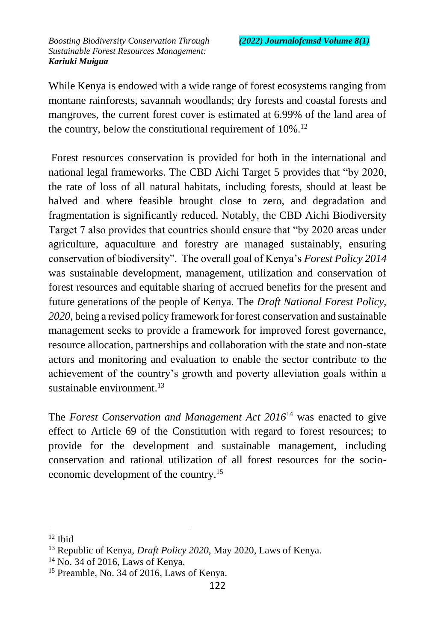While Kenya is endowed with a wide range of forest ecosystems ranging from montane rainforests, savannah woodlands; dry forests and coastal forests and mangroves, the current forest cover is estimated at 6.99% of the land area of the country, below the constitutional requirement of 10%.<sup>12</sup>

Forest resources conservation is provided for both in the international and national legal frameworks. The CBD Aichi Target 5 provides that "by 2020, the rate of loss of all natural habitats, including forests, should at least be halved and where feasible brought close to zero, and degradation and fragmentation is significantly reduced. Notably, the CBD Aichi Biodiversity Target 7 also provides that countries should ensure that "by 2020 areas under agriculture, aquaculture and forestry are managed sustainably, ensuring conservation of biodiversity". The overall goal of Kenya's *Forest Policy 2014* was sustainable development, management, utilization and conservation of forest resources and equitable sharing of accrued benefits for the present and future generations of the people of Kenya. The *Draft National Forest Policy, 2020*, being a revised policy framework for forest conservation and sustainable management seeks to provide a framework for improved forest governance, resource allocation, partnerships and collaboration with the state and non-state actors and monitoring and evaluation to enable the sector contribute to the achievement of the country's growth and poverty alleviation goals within a sustainable environment. $^{13}$ 

The *Forest Conservation and Management Act 2016*<sup>14</sup> was enacted to give effect to Article 69 of the Constitution with regard to forest resources; to provide for the development and sustainable management, including conservation and rational utilization of all forest resources for the socioeconomic development of the country.<sup>15</sup>

 $12$  Ibid

<sup>13</sup> Republic of Kenya, *Draft Policy 2020*, May 2020, Laws of Kenya.

<sup>14</sup> No. 34 of 2016, Laws of Kenya.

<sup>15</sup> Preamble, No. 34 of 2016, Laws of Kenya.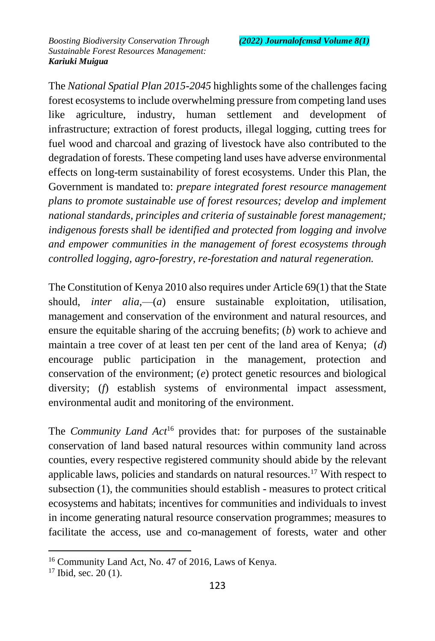The *National Spatial Plan 2015-2045* highlights some of the challenges facing forest ecosystems to include overwhelming pressure from competing land uses like agriculture, industry, human settlement and development of infrastructure; extraction of forest products, illegal logging, cutting trees for fuel wood and charcoal and grazing of livestock have also contributed to the degradation of forests. These competing land uses have adverse environmental effects on long-term sustainability of forest ecosystems. Under this Plan, the Government is mandated to: *prepare integrated forest resource management plans to promote sustainable use of forest resources; develop and implement national standards, principles and criteria of sustainable forest management; indigenous forests shall be identified and protected from logging and involve and empower communities in the management of forest ecosystems through controlled logging, agro-forestry, re-forestation and natural regeneration.*

The Constitution of Kenya 2010 also requires under Article 69(1) that the State should, *inter alia*,—(*a*) ensure sustainable exploitation, utilisation, management and conservation of the environment and natural resources, and ensure the equitable sharing of the accruing benefits; (*b*) work to achieve and maintain a tree cover of at least ten per cent of the land area of Kenya; (*d*) encourage public participation in the management, protection and conservation of the environment; (*e*) protect genetic resources and biological diversity; (*f*) establish systems of environmental impact assessment, environmental audit and monitoring of the environment.

The *Community Land Act*<sup>16</sup> provides that: for purposes of the sustainable conservation of land based natural resources within community land across counties, every respective registered community should abide by the relevant applicable laws, policies and standards on natural resources.<sup>17</sup> With respect to subsection (1), the communities should establish - measures to protect critical ecosystems and habitats; incentives for communities and individuals to invest in income generating natural resource conservation programmes; measures to facilitate the access, use and co-management of forests, water and other

<sup>16</sup> Community Land Act, No. 47 of 2016, Laws of Kenya.

 $17$  Ibid, sec. 20 (1).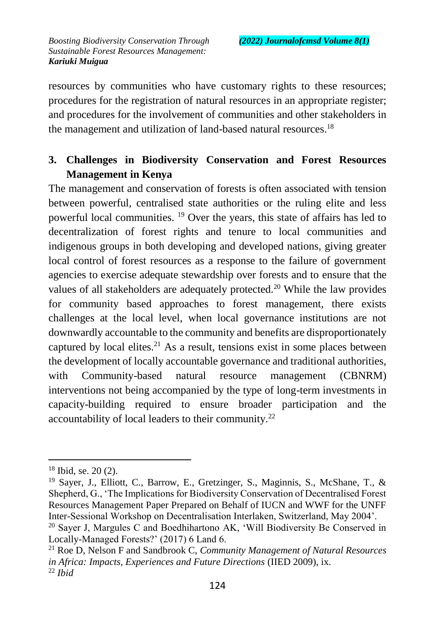resources by communities who have customary rights to these resources; procedures for the registration of natural resources in an appropriate register; and procedures for the involvement of communities and other stakeholders in the management and utilization of land-based natural resources.<sup>18</sup>

## **3. Challenges in Biodiversity Conservation and Forest Resources Management in Kenya**

The management and conservation of forests is often associated with tension between powerful, centralised state authorities or the ruling elite and less powerful local communities. <sup>19</sup> Over the years, this state of affairs has led to decentralization of forest rights and tenure to local communities and indigenous groups in both developing and developed nations, giving greater local control of forest resources as a response to the failure of government agencies to exercise adequate stewardship over forests and to ensure that the values of all stakeholders are adequately protected.<sup>20</sup> While the law provides for community based approaches to forest management, there exists challenges at the local level, when local governance institutions are not downwardly accountable to the community and benefits are disproportionately captured by local elites.<sup>21</sup> As a result, tensions exist in some places between the development of locally accountable governance and traditional authorities, with Community-based natural resource management (CBNRM) interventions not being accompanied by the type of long-term investments in capacity-building required to ensure broader participation and the accountability of local leaders to their community.<sup>22</sup>

<sup>18</sup> Ibid, se. 20 (2).

<sup>19</sup> Sayer, J., Elliott, C., Barrow, E., Gretzinger, S., Maginnis, S., McShane, T., & Shepherd, G., 'The Implications for Biodiversity Conservation of Decentralised Forest Resources Management Paper Prepared on Behalf of IUCN and WWF for the UNFF Inter-Sessional Workshop on Decentralisation Interlaken, Switzerland, May 2004'.

<sup>&</sup>lt;sup>20</sup> Sayer J, Margules C and Boedhihartono AK, 'Will Biodiversity Be Conserved in Locally-Managed Forests?' (2017) 6 Land 6.

<sup>21</sup> Roe D, Nelson F and Sandbrook C, *Community Management of Natural Resources in Africa: Impacts, Experiences and Future Directions* (IIED 2009), ix. <sup>22</sup> *Ibid*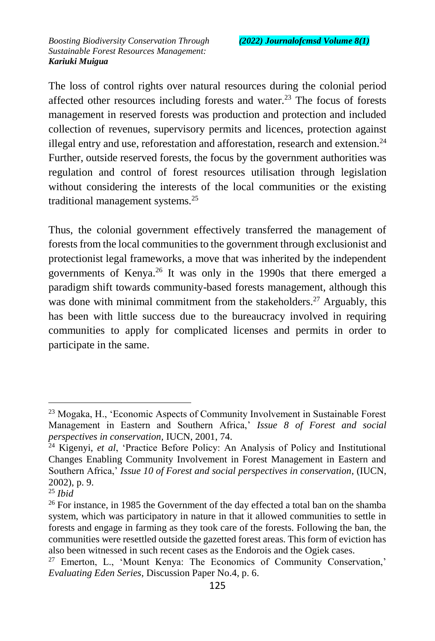The loss of control rights over natural resources during the colonial period affected other resources including forests and water.<sup>23</sup> The focus of forests management in reserved forests was production and protection and included collection of revenues, supervisory permits and licences, protection against illegal entry and use, reforestation and afforestation, research and extension.<sup>24</sup> Further, outside reserved forests, the focus by the government authorities was regulation and control of forest resources utilisation through legislation without considering the interests of the local communities or the existing traditional management systems.<sup>25</sup>

Thus, the colonial government effectively transferred the management of forests from the local communities to the government through exclusionist and protectionist legal frameworks, a move that was inherited by the independent governments of Kenya.<sup>26</sup> It was only in the 1990s that there emerged a paradigm shift towards community-based forests management, although this was done with minimal commitment from the stakeholders.<sup>27</sup> Arguably, this has been with little success due to the bureaucracy involved in requiring communities to apply for complicated licenses and permits in order to participate in the same.

<sup>23</sup> Mogaka, H., 'Economic Aspects of Community Involvement in Sustainable Forest Management in Eastern and Southern Africa,' *Issue 8 of Forest and social perspectives in conservation,* IUCN, 2001, 74.

<sup>24</sup> Kigenyi, *et al*, 'Practice Before Policy: An Analysis of Policy and Institutional Changes Enabling Community Involvement in Forest Management in Eastern and Southern Africa,' *Issue 10 of Forest and social perspectives in conservation*, (IUCN, 2002), p. 9.

<sup>25</sup> *Ibid*

<sup>&</sup>lt;sup>26</sup> For instance, in 1985 the Government of the day effected a total ban on the shamba system, which was participatory in nature in that it allowed communities to settle in forests and engage in farming as they took care of the forests. Following the ban, the communities were resettled outside the gazetted forest areas. This form of eviction has also been witnessed in such recent cases as the Endorois and the Ogiek cases.

<sup>27</sup> Emerton, L., 'Mount Kenya: The Economics of Community Conservation,' *Evaluating Eden Series*, Discussion Paper No.4, p. 6.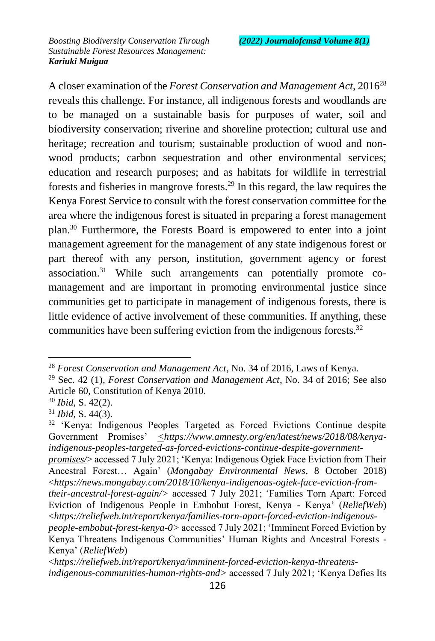A closer examination of the *Forest Conservation and Management Act*, 2016<sup>28</sup> reveals this challenge. For instance, all indigenous forests and woodlands are to be managed on a sustainable basis for purposes of water, soil and biodiversity conservation; riverine and shoreline protection; cultural use and heritage; recreation and tourism; sustainable production of wood and nonwood products; carbon sequestration and other environmental services; education and research purposes; and as habitats for wildlife in terrestrial forests and fisheries in mangrove forests.<sup>29</sup> In this regard, the law requires the Kenya Forest Service to consult with the forest conservation committee for the area where the indigenous forest is situated in preparing a forest management plan.<sup>30</sup> Furthermore, the Forests Board is empowered to enter into a joint management agreement for the management of any state indigenous forest or part thereof with any person, institution, government agency or forest association.<sup>31</sup> While such arrangements can potentially promote comanagement and are important in promoting environmental justice since communities get to participate in management of indigenous forests, there is little evidence of active involvement of these communities. If anything, these communities have been suffering eviction from the indigenous forests.<sup>32</sup>

<sup>28</sup> *Forest Conservation and Management Act*, No. 34 of 2016, Laws of Kenya.

<sup>29</sup> Sec. 42 (1)*, Forest Conservation and Management Act*, No. 34 of 2016; See also Article 60, Constitution of Kenya 2010.

<sup>30</sup> *Ibid*, S. 42(2).

<sup>31</sup> *Ibid*, S. 44(3).

<sup>&</sup>lt;sup>32</sup> 'Kenya: Indigenous Peoples Targeted as Forced Evictions Continue despite Government Promises' *<https://www.amnesty.org/en/latest/news/2018/08/kenyaindigenous-peoples-targeted-as-forced-evictions-continue-despite-government-*

*promises/*> accessed 7 July 2021; 'Kenya: Indigenous Ogiek Face Eviction from Their Ancestral Forest… Again' (*Mongabay Environmental News*, 8 October 2018) <*https://news.mongabay.com/2018/10/kenya-indigenous-ogiek-face-eviction-from-*

*their-ancestral-forest-again/>* accessed 7 July 2021; 'Families Torn Apart: Forced Eviction of Indigenous People in Embobut Forest, Kenya - Kenya' (*ReliefWeb*) <*https://reliefweb.int/report/kenya/families-torn-apart-forced-eviction-indigenous-*

*people-embobut-forest-kenya-0>* accessed 7 July 2021; 'Imminent Forced Eviction by Kenya Threatens Indigenous Communities' Human Rights and Ancestral Forests - Kenya' (*ReliefWeb*)

<sup>&</sup>lt;*https://reliefweb.int/report/kenya/imminent-forced-eviction-kenya-threatensindigenous-communities-human-rights-and>* accessed 7 July 2021; 'Kenya Defies Its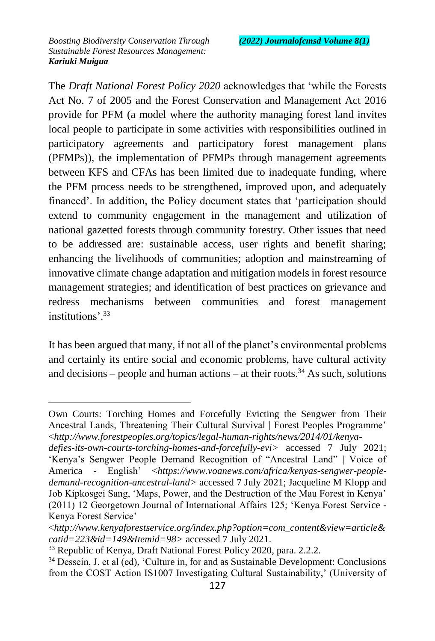The *Draft National Forest Policy 2020* acknowledges that 'while the Forests Act No. 7 of 2005 and the Forest Conservation and Management Act 2016 provide for PFM (a model where the authority managing forest land invites local people to participate in some activities with responsibilities outlined in participatory agreements and participatory forest management plans (PFMPs)), the implementation of PFMPs through management agreements between KFS and CFAs has been limited due to inadequate funding, where the PFM process needs to be strengthened, improved upon, and adequately financed'. In addition, the Policy document states that 'participation should extend to community engagement in the management and utilization of national gazetted forests through community forestry. Other issues that need to be addressed are: sustainable access, user rights and benefit sharing; enhancing the livelihoods of communities; adoption and mainstreaming of innovative climate change adaptation and mitigation models in forest resource management strategies; and identification of best practices on grievance and redress mechanisms between communities and forest management institutions'.<sup>33</sup>

It has been argued that many, if not all of the planet's environmental problems and certainly its entire social and economic problems, have cultural activity and decisions – people and human actions – at their roots.<sup>34</sup> As such, solutions

 $\overline{a}$ Own Courts: Torching Homes and Forcefully Evicting the Sengwer from Their Ancestral Lands, Threatening Their Cultural Survival | Forest Peoples Programme' <*http://www.forestpeoples.org/topics/legal-human-rights/news/2014/01/kenya-*

*defies-its-own-courts-torching-homes-and-forcefully-evi>* accessed 7 July 2021; 'Kenya's Sengwer People Demand Recognition of "Ancestral Land" | Voice of America - English' <*https://www.voanews.com/africa/kenyas-sengwer-peopledemand-recognition-ancestral-land>* accessed 7 July 2021; Jacqueline M Klopp and Job Kipkosgei Sang, 'Maps, Power, and the Destruction of the Mau Forest in Kenya' (2011) 12 Georgetown Journal of International Affairs 125; 'Kenya Forest Service - Kenya Forest Service'

<sup>&</sup>lt;*http://www.kenyaforestservice.org/index.php?option=com\_content&view=article& catid=223&id=149&Itemid=98>* accessed 7 July 2021.

<sup>&</sup>lt;sup>33</sup> Republic of Kenya, Draft National Forest Policy 2020, para. 2.2.2.

<sup>&</sup>lt;sup>34</sup> Dessein, J. et al (ed), 'Culture in, for and as Sustainable Development: Conclusions from the COST Action IS1007 Investigating Cultural Sustainability,' (University of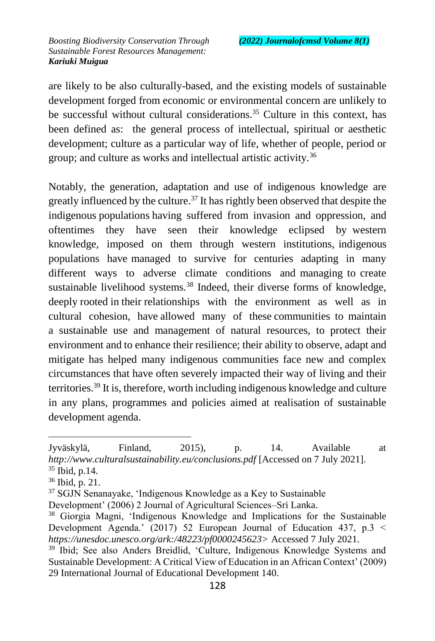are likely to be also culturally-based, and the existing models of sustainable development forged from economic or environmental concern are unlikely to be successful without cultural considerations.<sup>35</sup> Culture in this context, has been defined as: the general process of intellectual, spiritual or aesthetic development; culture as a particular way of life, whether of people, period or group; and culture as works and intellectual artistic activity.<sup>36</sup>

Notably, the generation, adaptation and use of indigenous knowledge are greatly influenced by the culture.<sup>37</sup> It has rightly been observed that despite the indigenous populations having suffered from invasion and oppression, and oftentimes they have seen their knowledge eclipsed by western knowledge, imposed on them through western institutions, indigenous populations have managed to survive for centuries adapting in many different ways to adverse climate conditions and managing to create sustainable livelihood systems.<sup>38</sup> Indeed, their diverse forms of knowledge, deeply rooted in their relationships with the environment as well as in cultural cohesion, have allowed many of these communities to maintain a sustainable use and management of natural resources, to protect their environment and to enhance their resilience; their ability to observe, adapt and mitigate has helped many indigenous communities face new and complex circumstances that have often severely impacted their way of living and their territories.<sup>39</sup> It is, therefore, worth including indigenous knowledge and culture in any plans, programmes and policies aimed at realisation of sustainable development agenda.

 $\overline{a}$ Jyväskylä, Finland, 2015), p. 14. Available at *http://www.culturalsustainability.eu/conclusions.pdf* [Accessed on 7 July 2021]. <sup>35</sup> Ibid, p.14.

<sup>36</sup> Ibid, p. 21.

<sup>&</sup>lt;sup>37</sup> SGJN Senanayake, 'Indigenous Knowledge as a Key to Sustainable

Development' (2006) 2 Journal of Agricultural Sciences–Sri Lanka.

<sup>38</sup> Giorgia Magni, 'Indigenous Knowledge and Implications for the Sustainable Development Agenda.' (2017) 52 European Journal of Education 437, p.3 < *https://unesdoc.unesco.org/ark:/48223/pf0000245623>* Accessed 7 July 2021.

<sup>&</sup>lt;sup>39</sup> Ibid; See also Anders Breidlid, 'Culture, Indigenous Knowledge Systems and Sustainable Development: A Critical View of Education in an African Context' (2009) 29 International Journal of Educational Development 140.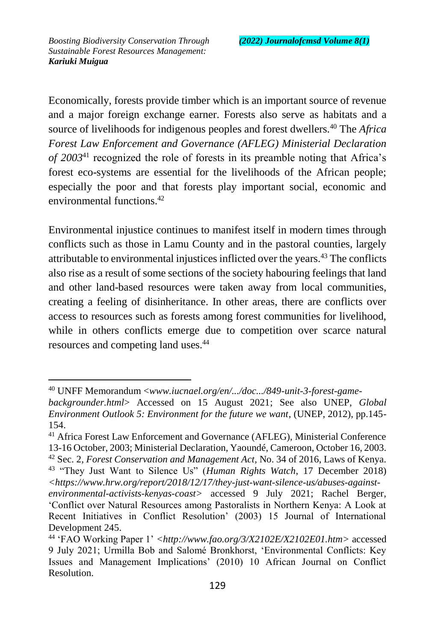$\overline{a}$ 

Economically, forests provide timber which is an important source of revenue and a major foreign exchange earner. Forests also serve as habitats and a source of livelihoods for indigenous peoples and forest dwellers.<sup>40</sup> The *Africa Forest Law Enforcement and Governance (AFLEG) Ministerial Declaration of 2003*<sup>41</sup> recognized the role of forests in its preamble noting that Africa's forest eco-systems are essential for the livelihoods of the African people; especially the poor and that forests play important social, economic and environmental functions.<sup>42</sup>

Environmental injustice continues to manifest itself in modern times through conflicts such as those in Lamu County and in the pastoral counties, largely attributable to environmental injustices inflicted over the years.<sup> $43$ </sup> The conflicts also rise as a result of some sections of the society habouring feelings that land and other land-based resources were taken away from local communities, creating a feeling of disinheritance. In other areas, there are conflicts over access to resources such as forests among forest communities for livelihood, while in others conflicts emerge due to competition over scarce natural resources and competing land uses.<sup>44</sup>

<sup>40</sup> UNFF Memorandum <*www.iucnael.org/en/.../doc.../849-unit-3-forest-game-*

*backgrounder.html*> Accessed on 15 August 2021; See also UNEP, *Global Environment Outlook 5: Environment for the future we want*, (UNEP, 2012), pp.145- 154.

<sup>41</sup> Africa Forest Law Enforcement and Governance (AFLEG), Ministerial Conference 13-16 October, 2003; Ministerial Declaration, Yaoundé, Cameroon, October 16, 2003. <sup>42</sup> Sec. 2*, Forest Conservation and Management Act*, No. 34 of 2016, Laws of Kenya.

<sup>43</sup> "They Just Want to Silence Us" (*Human Rights Watch*, 17 December 2018) *<https://www.hrw.org/report/2018/12/17/they-just-want-silence-us/abuses-against-*

*environmental-activists-kenyas-coast>* accessed 9 July 2021; Rachel Berger, 'Conflict over Natural Resources among Pastoralists in Northern Kenya: A Look at Recent Initiatives in Conflict Resolution' (2003) 15 Journal of International Development 245.

<sup>44</sup> 'FAO Working Paper 1' *<http://www.fao.org/3/X2102E/X2102E01.htm>* accessed 9 July 2021; Urmilla Bob and Salomé Bronkhorst, 'Environmental Conflicts: Key Issues and Management Implications' (2010) 10 African Journal on Conflict Resolution.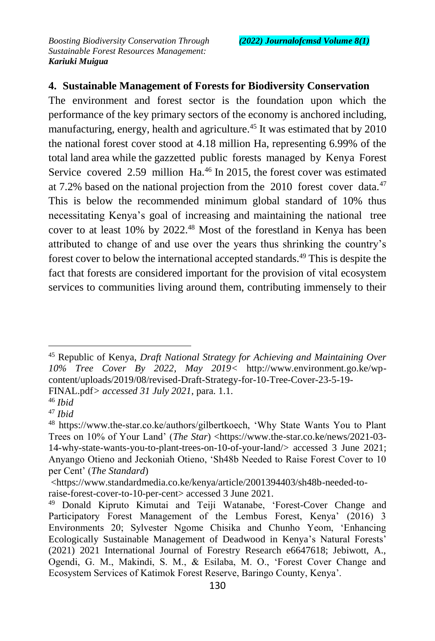### **4. Sustainable Management of Forests for Biodiversity Conservation**

The environment and forest sector is the foundation upon which the performance of the key primary sectors of the economy is anchored including, manufacturing, energy, health and agriculture.<sup>45</sup> It was estimated that by 2010 the national forest cover stood at 4.18 million Ha, representing 6.99% of the total land area while the gazzetted public forests managed by Kenya Forest Service covered 2.59 million Ha.<sup>46</sup> In 2015, the forest cover was estimated at 7.2% based on the national projection from the  $2010$  forest cover data.<sup>47</sup> This is below the recommended minimum global standard of 10% thus necessitating Kenya's goal of increasing and maintaining the national tree cover to at least 10% by 2022.<sup>48</sup> Most of the forestland in Kenya has been attributed to change of and use over the years thus shrinking the country's forest cover to below the international accepted standards.<sup>49</sup> This is despite the fact that forests are considered important for the provision of vital ecosystem services to communities living around them, contributing immensely to their

FINAL.pdf*> accessed 31 July 2021*, para. 1.1.

<sup>45</sup> Republic of Kenya, *Draft National Strategy for Achieving and Maintaining Over 10% Tree Cover By 2022, May 2019<* http://www.environment.go.ke/wpcontent/uploads/2019/08/revised-Draft-Strategy-for-10-Tree-Cover-23-5-19-

<sup>46</sup> *Ibid*

<sup>47</sup> *Ibid*

<sup>48</sup> https://www.the-star.co.ke/authors/gilbertkoech, 'Why State Wants You to Plant Trees on 10% of Your Land' (*The Star*) <https://www.the-star.co.ke/news/2021-03- 14-why-state-wants-you-to-plant-trees-on-10-of-your-land/> accessed 3 June 2021; Anyango Otieno and Jeckoniah Otieno, 'Sh48b Needed to Raise Forest Cover to 10 per Cent' (*The Standard*)

<sup>&</sup>lt;https://www.standardmedia.co.ke/kenya/article/2001394403/sh48b-needed-to-

raise-forest-cover-to-10-per-cent> accessed 3 June 2021.

<sup>49</sup> Donald Kipruto Kimutai and Teiji Watanabe, 'Forest-Cover Change and Participatory Forest Management of the Lembus Forest, Kenya' (2016) 3 Environments 20; Sylvester Ngome Chisika and Chunho Yeom, 'Enhancing Ecologically Sustainable Management of Deadwood in Kenya's Natural Forests' (2021) 2021 International Journal of Forestry Research e6647618; Jebiwott, A., Ogendi, G. M., Makindi, S. M., & Esilaba, M. O., 'Forest Cover Change and Ecosystem Services of Katimok Forest Reserve, Baringo County, Kenya'.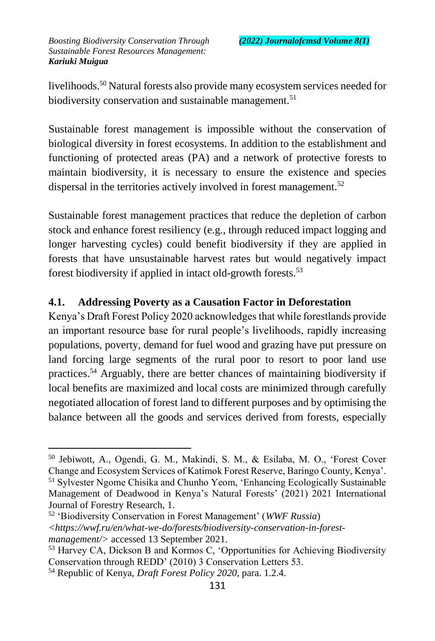livelihoods.<sup>50</sup> Natural forests also provide many ecosystem services needed for biodiversity conservation and sustainable management.<sup>51</sup>

Sustainable forest management is impossible without the conservation of biological diversity in forest ecosystems. In addition to the establishment and functioning of protected areas (PA) and a network of protective forests to maintain biodiversity, it is necessary to ensure the existence and species dispersal in the territories actively involved in forest management.<sup>52</sup>

Sustainable forest management practices that reduce the depletion of carbon stock and enhance forest resiliency (e.g., through reduced impact logging and longer harvesting cycles) could benefit biodiversity if they are applied in forests that have unsustainable harvest rates but would negatively impact forest biodiversity if applied in intact old-growth forests.<sup>53</sup>

## **4.1. Addressing Poverty as a Causation Factor in Deforestation**

Kenya's Draft Forest Policy 2020 acknowledges that while forestlands provide an important resource base for rural people's livelihoods, rapidly increasing populations, poverty, demand for fuel wood and grazing have put pressure on land forcing large segments of the rural poor to resort to poor land use practices.<sup>54</sup> Arguably, there are better chances of maintaining biodiversity if local benefits are maximized and local costs are minimized through carefully negotiated allocation of forest land to different purposes and by optimising the balance between all the goods and services derived from forests, especially

<sup>50</sup> Jebiwott, A., Ogendi, G. M., Makindi, S. M., & Esilaba, M. O., 'Forest Cover Change and Ecosystem Services of Katimok Forest Reserve, Baringo County, Kenya'. <sup>51</sup> Sylvester Ngome Chisika and Chunho Yeom, 'Enhancing Ecologically Sustainable Management of Deadwood in Kenya's Natural Forests' (2021) 2021 International Journal of Forestry Research, 1.

<sup>52</sup> 'Biodiversity Conservation in Forest Management' (*WWF Russia*) *<https://wwf.ru/en/what-we-do/forests/biodiversity-conservation-in-forestmanagement/>* accessed 13 September 2021.

<sup>53</sup> Harvey CA, Dickson B and Kormos C, 'Opportunities for Achieving Biodiversity Conservation through REDD' (2010) 3 Conservation Letters 53.

<sup>54</sup> Republic of Kenya, *Draft Forest Policy 2020,* para. 1.2.4.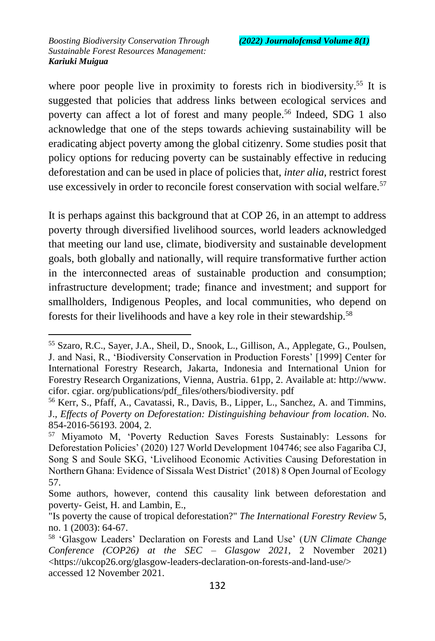$\overline{a}$ 

where poor people live in proximity to forests rich in biodiversity.<sup>55</sup> It is suggested that policies that address links between ecological services and poverty can affect a lot of forest and many people.<sup>56</sup> Indeed, SDG 1 also acknowledge that one of the steps towards achieving sustainability will be eradicating abject poverty among the global citizenry. Some studies posit that policy options for reducing poverty can be sustainably effective in reducing deforestation and can be used in place of policies that, *inter alia,* restrict forest use excessively in order to reconcile forest conservation with social welfare.<sup>57</sup>

It is perhaps against this background that at COP 26, in an attempt to address poverty through diversified livelihood sources, world leaders acknowledged that meeting our land use, climate, biodiversity and sustainable development goals, both globally and nationally, will require transformative further action in the interconnected areas of sustainable production and consumption; infrastructure development; trade; finance and investment; and support for smallholders, Indigenous Peoples, and local communities, who depend on forests for their livelihoods and have a key role in their stewardship.<sup>58</sup>

<sup>55</sup> Szaro, R.C., Sayer, J.A., Sheil, D., Snook, L., Gillison, A., Applegate, G., Poulsen, J. and Nasi, R., 'Biodiversity Conservation in Production Forests' [1999] Center for International Forestry Research, Jakarta, Indonesia and International Union for Forestry Research Organizations, Vienna, Austria. 61pp, 2. Available at: http://www. cifor. cgiar. org/publications/pdf\_files/others/biodiversity. pdf

<sup>56</sup> Kerr, S., Pfaff, A., Cavatassi, R., Davis, B., Lipper, L., Sanchez, A. and Timmins, J., *Effects of Poverty on Deforestation: Distinguishing behaviour from location*. No. 854-2016-56193. 2004, 2.

<sup>57</sup> Miyamoto M, 'Poverty Reduction Saves Forests Sustainably: Lessons for Deforestation Policies' (2020) 127 World Development 104746; see also Fagariba CJ, Song S and Soule SKG, 'Livelihood Economic Activities Causing Deforestation in Northern Ghana: Evidence of Sissala West District' (2018) 8 Open Journal of Ecology 57.

Some authors, however, contend this causality link between deforestation and poverty- Geist, H. and Lambin, E.,

<sup>&</sup>quot;Is poverty the cause of tropical deforestation?" *The International Forestry Review* 5, no. 1 (2003): 64-67.

<sup>58</sup> 'Glasgow Leaders' Declaration on Forests and Land Use' (*UN Climate Change Conference (COP26) at the SEC – Glasgow 2021*, 2 November 2021) <https://ukcop26.org/glasgow-leaders-declaration-on-forests-and-land-use/> accessed 12 November 2021.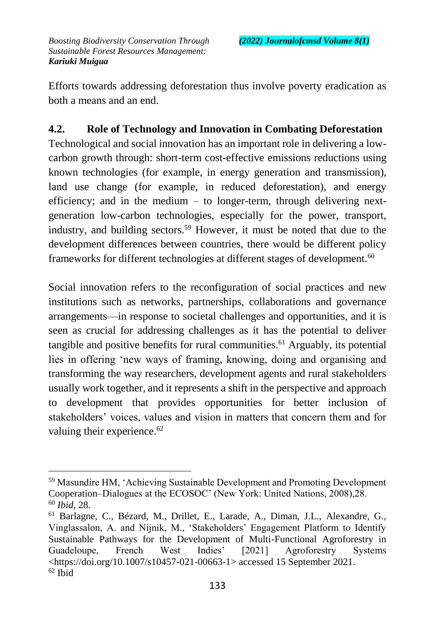Efforts towards addressing deforestation thus involve poverty eradication as both a means and an end.

#### **4.2. Role of Technology and Innovation in Combating Deforestation**

Technological and social innovation has an important role in delivering a lowcarbon growth through: short-term cost-effective emissions reductions using known technologies (for example, in energy generation and transmission), land use change (for example, in reduced deforestation), and energy efficiency; and in the medium – to longer-term, through delivering nextgeneration low-carbon technologies, especially for the power, transport, industry, and building sectors.<sup>59</sup> However, it must be noted that due to the development differences between countries, there would be different policy frameworks for different technologies at different stages of development.<sup>60</sup>

Social innovation refers to the reconfiguration of social practices and new institutions such as networks, partnerships, collaborations and governance arrangements—in response to societal challenges and opportunities, and it is seen as crucial for addressing challenges as it has the potential to deliver tangible and positive benefits for rural communities.<sup> $61$ </sup> Arguably, its potential lies in offering 'new ways of framing, knowing, doing and organising and transforming the way researchers, development agents and rural stakeholders usually work together, and it represents a shift in the perspective and approach to development that provides opportunities for better inclusion of stakeholders' voices, values and vision in matters that concern them and for valuing their experience.<sup>62</sup>

 $\overline{a}$ <sup>59</sup> Masundire HM, 'Achieving Sustainable Development and Promoting Development Cooperation–Dialogues at the ECOSOC' (New York: United Nations, 2008),28. <sup>60</sup> *Ibid*, 28.

<sup>61</sup> Barlagne, C., Bézard, M., Drillet, E., Larade, A., Diman, J.L., Alexandre, G., Vinglassalon, A. and Nijnik, M., 'Stakeholders' Engagement Platform to Identify Sustainable Pathways for the Development of Multi-Functional Agroforestry in Guadeloupe, French West Indies' [2021] Agroforestry Systems <https://doi.org/10.1007/s10457-021-00663-1> accessed 15 September 2021.  $62$  Ibid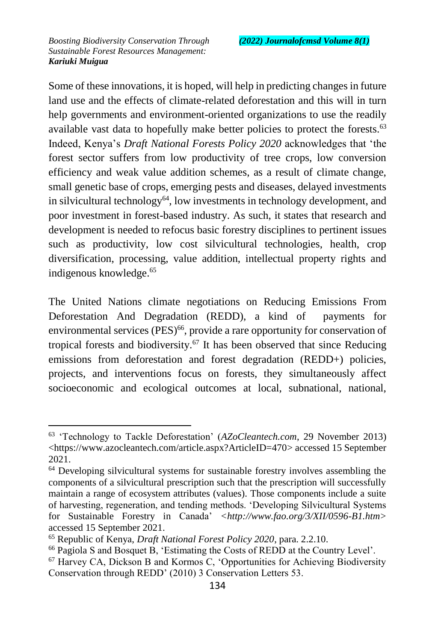$\overline{a}$ 

Some of these innovations, it is hoped, will help in predicting changes in future land use and the effects of climate-related deforestation and this will in turn help governments and environment-oriented organizations to use the readily available vast data to hopefully make better policies to protect the forests.<sup>63</sup> Indeed, Kenya's *Draft National Forests Policy 2020* acknowledges that 'the forest sector suffers from low productivity of tree crops, low conversion efficiency and weak value addition schemes, as a result of climate change, small genetic base of crops, emerging pests and diseases, delayed investments in silvicultural technology<sup>64</sup>, low investments in technology development, and poor investment in forest-based industry. As such, it states that research and development is needed to refocus basic forestry disciplines to pertinent issues such as productivity, low cost silvicultural technologies, health, crop diversification, processing, value addition, intellectual property rights and indigenous knowledge.<sup>65</sup>

The United Nations climate negotiations on Reducing Emissions From Deforestation And Degradation (REDD), a kind of payments for environmental services (PES)<sup>66</sup>, provide a rare opportunity for conservation of tropical forests and biodiversity.<sup>67</sup> It has been observed that since Reducing emissions from deforestation and forest degradation (REDD+) policies, projects, and interventions focus on forests, they simultaneously affect socioeconomic and ecological outcomes at local, subnational, national,

<sup>63</sup> 'Technology to Tackle Deforestation' (*AZoCleantech.com*, 29 November 2013) <https://www.azocleantech.com/article.aspx?ArticleID=470> accessed 15 September 2021.

<sup>64</sup> Developing silvicultural systems for sustainable forestry involves assembling the components of a silvicultural prescription such that the prescription will successfully maintain a range of ecosystem attributes (values). Those components include a suite of harvesting, regeneration, and tending methods. 'Developing Silvicultural Systems for Sustainable Forestry in Canada' *<http://www.fao.org/3/XII/0596-B1.htm>* accessed 15 September 2021.

<sup>65</sup> Republic of Kenya, *Draft National Forest Policy 2020*, para. 2.2.10.

<sup>66</sup> Pagiola S and Bosquet B, 'Estimating the Costs of REDD at the Country Level'.

<sup>67</sup> Harvey CA, Dickson B and Kormos C, 'Opportunities for Achieving Biodiversity Conservation through REDD' (2010) 3 Conservation Letters 53.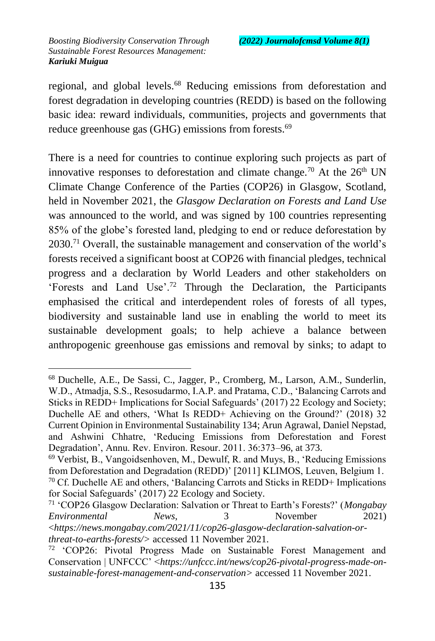$\overline{a}$ 

regional, and global levels.<sup>68</sup> Reducing emissions from deforestation and forest degradation in developing countries (REDD) is based on the following basic idea: reward individuals, communities, projects and governments that reduce greenhouse gas (GHG) emissions from forests.<sup>69</sup>

There is a need for countries to continue exploring such projects as part of innovative responses to deforestation and climate change.<sup>70</sup> At the  $26<sup>th</sup>$  UN Climate Change Conference of the Parties (COP26) in Glasgow, Scotland, held in November 2021, the *Glasgow Declaration on Forests and Land Use* was announced to the world, and was signed by 100 countries representing 85% of the globe's forested land, pledging to end or reduce deforestation by 2030.<sup>71</sup> Overall, the sustainable management and conservation of the world's forests received a significant boost at COP26 with financial pledges, technical progress and a declaration by World Leaders and other stakeholders on 'Forests and Land Use'.<sup>72</sup> Through the Declaration, the Participants emphasised the critical and interdependent roles of forests of all types, biodiversity and sustainable land use in enabling the world to meet its sustainable development goals; to help achieve a balance between anthropogenic greenhouse gas emissions and removal by sinks; to adapt to

<sup>68</sup> Duchelle, A.E., De Sassi, C., Jagger, P., Cromberg, M., Larson, A.M., Sunderlin, W.D., Atmadja, S.S., Resosudarmo, I.A.P. and Pratama, C.D., 'Balancing Carrots and Sticks in REDD+ Implications for Social Safeguards' (2017) 22 Ecology and Society; Duchelle AE and others, 'What Is REDD+ Achieving on the Ground?' (2018) 32 Current Opinion in Environmental Sustainability 134; Arun Agrawal, Daniel Nepstad, and Ashwini Chhatre, 'Reducing Emissions from Deforestation and Forest Degradation', Annu. Rev. Environ. Resour. 2011. 36:373–96, at 373.

 $69$  Verbist, B., Vangoidsenhoven, M., Dewulf, R. and Muys, B., 'Reducing Emissions from Deforestation and Degradation (REDD)' [2011] KLIMOS, Leuven, Belgium 1.  $70$  Cf. Duchelle AE and others, 'Balancing Carrots and Sticks in REDD+ Implications for Social Safeguards' (2017) 22 Ecology and Society.

<sup>71</sup> 'COP26 Glasgow Declaration: Salvation or Threat to Earth's Forests?' (*Mongabay Environmental News*, 3 November 2021) <*https://news.mongabay.com/2021/11/cop26-glasgow-declaration-salvation-orthreat-to-earths-forests/>* accessed 11 November 2021.

 $72$  'COP26: Pivotal Progress Made on Sustainable Forest Management and Conservation | UNFCCC' <*https://unfccc.int/news/cop26-pivotal-progress-made-onsustainable-forest-management-and-conservation>* accessed 11 November 2021.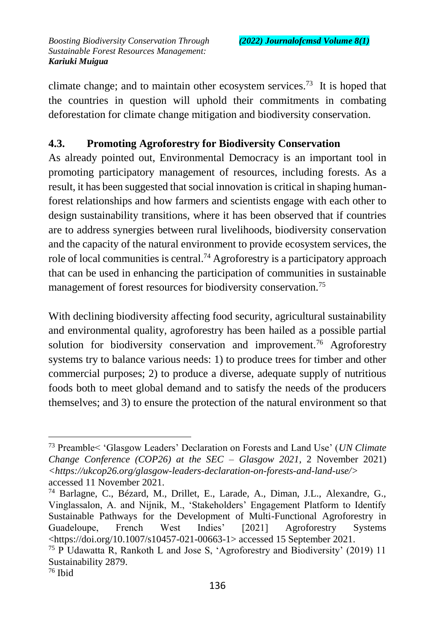climate change; and to maintain other ecosystem services.<sup>73</sup> It is hoped that the countries in question will uphold their commitments in combating deforestation for climate change mitigation and biodiversity conservation.

### **4.3. Promoting Agroforestry for Biodiversity Conservation**

As already pointed out, Environmental Democracy is an important tool in promoting participatory management of resources, including forests. As a result, it has been suggested that social innovation is critical in shaping humanforest relationships and how farmers and scientists engage with each other to design sustainability transitions, where it has been observed that if countries are to address synergies between rural livelihoods, biodiversity conservation and the capacity of the natural environment to provide ecosystem services, the role of local communities is central.<sup>74</sup> Agroforestry is a participatory approach that can be used in enhancing the participation of communities in sustainable management of forest resources for biodiversity conservation.<sup>75</sup>

With declining biodiversity affecting food security, agricultural sustainability and environmental quality, agroforestry has been hailed as a possible partial solution for biodiversity conservation and improvement.<sup>76</sup> Agroforestry systems try to balance various needs: 1) to produce trees for timber and other commercial purposes; 2) to produce a diverse, adequate supply of nutritious foods both to meet global demand and to satisfy the needs of the producers themselves; and 3) to ensure the protection of the natural environment so that

<sup>73</sup> Preamble< 'Glasgow Leaders' Declaration on Forests and Land Use' (*UN Climate Change Conference (COP26) at the SEC – Glasgow 2021*, 2 November 2021) *<https://ukcop26.org/glasgow-leaders-declaration-on-forests-and-land-use/>* accessed 11 November 2021.

<sup>74</sup> Barlagne, C., Bézard, M., Drillet, E., Larade, A., Diman, J.L., Alexandre, G., Vinglassalon, A. and Nijnik, M., 'Stakeholders' Engagement Platform to Identify Sustainable Pathways for the Development of Multi-Functional Agroforestry in Guadeloupe, French West Indies' [2021] Agroforestry Systems <https://doi.org/10.1007/s10457-021-00663-1> accessed 15 September 2021.

<sup>75</sup> P Udawatta R, Rankoth L and Jose S, 'Agroforestry and Biodiversity' (2019) 11 Sustainability 2879.

<sup>76</sup> Ibid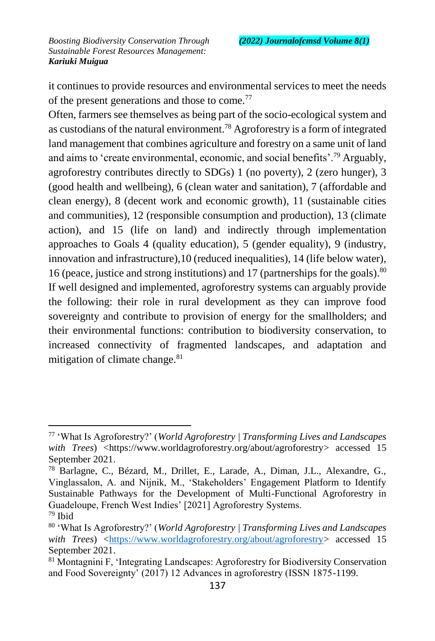$\overline{a}$ 

it continues to provide resources and environmental services to meet the needs of the present generations and those to come.<sup>77</sup>

Often, farmers see themselves as being part of the socio-ecological system and as custodians of the natural environment.<sup>78</sup> Agroforestry is a form of integrated land management that combines agriculture and forestry on a same unit of land and aims to 'create environmental, economic, and social benefits'.<sup>79</sup> Arguably, agroforestry contributes directly to SDGs) 1 (no poverty), 2 (zero hunger), 3 (good health and wellbeing), 6 (clean water and sanitation), 7 (affordable and clean energy), 8 (decent work and economic growth), 11 (sustainable cities and communities), 12 (responsible consumption and production), 13 (climate action), and 15 (life on land) and indirectly through implementation approaches to Goals 4 (quality education), 5 (gender equality), 9 (industry, innovation and infrastructure),10 (reduced inequalities), 14 (life below water), 16 (peace, justice and strong institutions) and 17 (partnerships for the goals).<sup>80</sup> If well designed and implemented, agroforestry systems can arguably provide the following: their role in rural development as they can improve food sovereignty and contribute to provision of energy for the smallholders; and their environmental functions: contribution to biodiversity conservation, to increased connectivity of fragmented landscapes, and adaptation and mitigation of climate change.<sup>81</sup>

<sup>77</sup> 'What Is Agroforestry?' (*World Agroforestry | Transforming Lives and Landscapes with Trees*) <https://www.worldagroforestry.org/about/agroforestry> accessed 15 September 2021.

<sup>78</sup> Barlagne, C., Bézard, M., Drillet, E., Larade, A., Diman, J.L., Alexandre, G., Vinglassalon, A. and Nijnik, M., 'Stakeholders' Engagement Platform to Identify Sustainable Pathways for the Development of Multi-Functional Agroforestry in Guadeloupe, French West Indies' [2021] Agroforestry Systems.  $79$  Ibid

<sup>80</sup> 'What Is Agroforestry?' (*World Agroforestry | Transforming Lives and Landscapes with Trees*) [<https://www.worldagroforestry.org/about/agroforestry>](https://www.worldagroforestry.org/about/agroforestry) accessed 15 September 2021.

<sup>81</sup> Montagnini F, 'Integrating Landscapes: Agroforestry for Biodiversity Conservation and Food Sovereignty' (2017) 12 Advances in agroforestry (ISSN 1875-1199.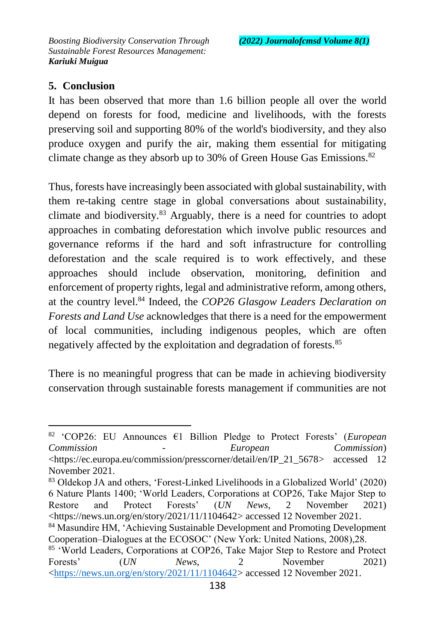#### **5. Conclusion**

 $\overline{a}$ 

It has been observed that more than 1.6 billion people all over the world depend on forests for food, medicine and livelihoods, with the forests preserving soil and supporting 80% of the world's biodiversity, and they also produce oxygen and purify the air, making them essential for mitigating climate change as they absorb up to 30% of Green House Gas Emissions.<sup>82</sup>

Thus, forests have increasingly been associated with global sustainability, with them re-taking centre stage in global conversations about sustainability, climate and biodiversity.<sup>83</sup> Arguably, there is a need for countries to adopt approaches in combating deforestation which involve public resources and governance reforms if the hard and soft infrastructure for controlling deforestation and the scale required is to work effectively, and these approaches should include observation, monitoring, definition and enforcement of property rights, legal and administrative reform, among others, at the country level.<sup>84</sup> Indeed, the *COP26 Glasgow Leaders Declaration on Forests and Land Use* acknowledges that there is a need for the empowerment of local communities, including indigenous peoples, which are often negatively affected by the exploitation and degradation of forests.<sup>85</sup>

There is no meaningful progress that can be made in achieving biodiversity conservation through sustainable forests management if communities are not

<sup>84</sup> Masundire HM, 'Achieving Sustainable Development and Promoting Development Cooperation–Dialogues at the ECOSOC' (New York: United Nations, 2008),28.

<sup>82</sup> 'COP26: EU Announces €1 Billion Pledge to Protect Forests' (*European Commission - European Commission*) <https://ec.europa.eu/commission/presscorner/detail/en/IP\_21\_5678> accessed 12 November 2021.

<sup>83</sup> Oldekop JA and others, 'Forest-Linked Livelihoods in a Globalized World' (2020) 6 Nature Plants 1400; 'World Leaders, Corporations at COP26, Take Major Step to Restore and Protect Forests' (*UN News*, 2 November 2021) <https://news.un.org/en/story/2021/11/1104642> accessed 12 November 2021.

<sup>85</sup> 'World Leaders, Corporations at COP26, Take Major Step to Restore and Protect Forests' (*UN News*, 2 November 2021) [<https://news.un.org/en/story/2021/11/1104642>](https://news.un.org/en/story/2021/11/1104642) accessed 12 November 2021.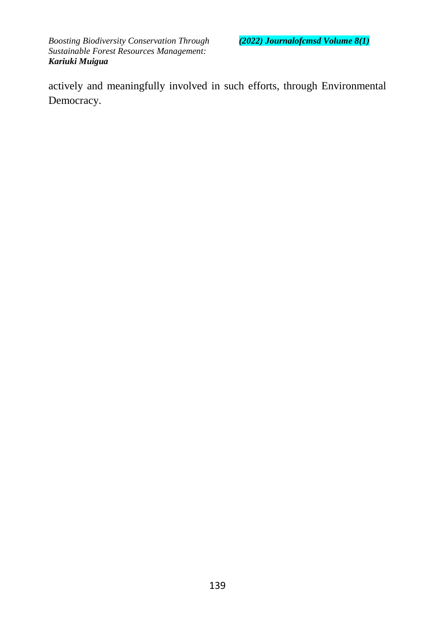actively and meaningfully involved in such efforts, through Environmental Democracy.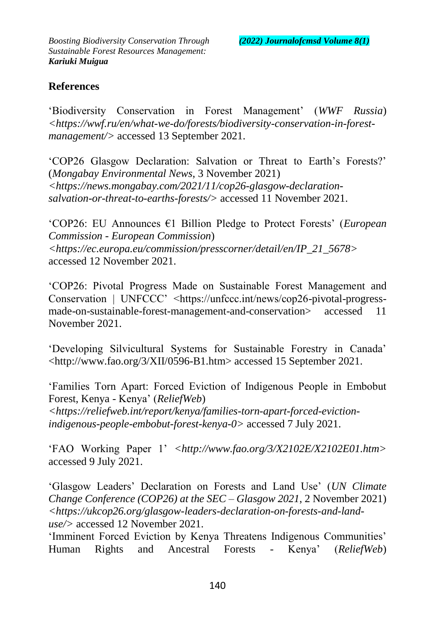### **References**

'Biodiversity Conservation in Forest Management' (*WWF Russia*) *<https://wwf.ru/en/what-we-do/forests/biodiversity-conservation-in-forestmanagement/>* accessed 13 September 2021.

'COP26 Glasgow Declaration: Salvation or Threat to Earth's Forests?' (*Mongabay Environmental News*, 3 November 2021) *<https://news.mongabay.com/2021/11/cop26-glasgow-declarationsalvation-or-threat-to-earths-forests/>* accessed 11 November 2021.

'COP26: EU Announces €1 Billion Pledge to Protect Forests' (*European Commission - European Commission*) *<https://ec.europa.eu/commission/presscorner/detail/en/IP\_21\_5678>* accessed 12 November 2021.

'COP26: Pivotal Progress Made on Sustainable Forest Management and Conservation | UNFCCC' <https://unfccc.int/news/cop26-pivotal-progressmade-on-sustainable-forest-management-and-conservation> accessed 11 November 2021.

'Developing Silvicultural Systems for Sustainable Forestry in Canada' <http://www.fao.org/3/XII/0596-B1.htm> accessed 15 September 2021.

'Families Torn Apart: Forced Eviction of Indigenous People in Embobut Forest, Kenya - Kenya' (*ReliefWeb*) *<https://reliefweb.int/report/kenya/families-torn-apart-forced-evictionindigenous-people-embobut-forest-kenya-0>* accessed 7 July 2021.

'FAO Working Paper 1' *<http://www.fao.org/3/X2102E/X2102E01.htm>* accessed 9 July 2021.

'Glasgow Leaders' Declaration on Forests and Land Use' (*UN Climate Change Conference (COP26) at the SEC – Glasgow 2021*, 2 November 2021) *<https://ukcop26.org/glasgow-leaders-declaration-on-forests-and-landuse/>* accessed 12 November 2021.

'Imminent Forced Eviction by Kenya Threatens Indigenous Communities' Human Rights and Ancestral Forests - Kenya' (*ReliefWeb*)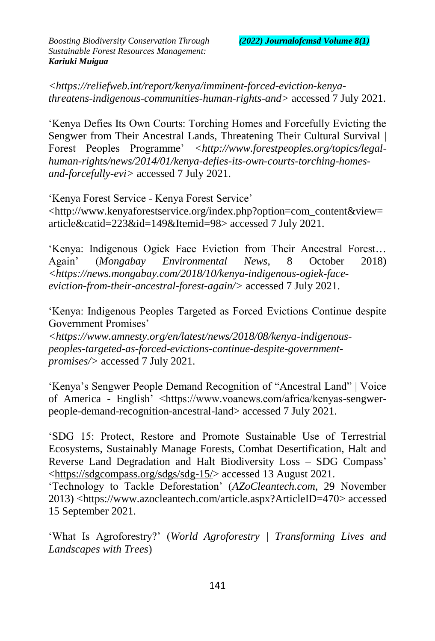*<https://reliefweb.int/report/kenya/imminent-forced-eviction-kenyathreatens-indigenous-communities-human-rights-and>* accessed 7 July 2021.

'Kenya Defies Its Own Courts: Torching Homes and Forcefully Evicting the Sengwer from Their Ancestral Lands, Threatening Their Cultural Survival | Forest Peoples Programme' *<http://www.forestpeoples.org/topics/legalhuman-rights/news/2014/01/kenya-defies-its-own-courts-torching-homesand-forcefully-evi>* accessed 7 July 2021.

'Kenya Forest Service - Kenya Forest Service' <http://www.kenyaforestservice.org/index.php?option=com\_content&view= article&catid=223&id=149&Itemid=98> accessed 7 July 2021.

'Kenya: Indigenous Ogiek Face Eviction from Their Ancestral Forest… Again' (*Mongabay Environmental News*, 8 October 2018) *<https://news.mongabay.com/2018/10/kenya-indigenous-ogiek-faceeviction-from-their-ancestral-forest-again/>* accessed 7 July 2021.

'Kenya: Indigenous Peoples Targeted as Forced Evictions Continue despite Government Promises'

*<https://www.amnesty.org/en/latest/news/2018/08/kenya-indigenouspeoples-targeted-as-forced-evictions-continue-despite-governmentpromises/>* accessed 7 July 2021.

'Kenya's Sengwer People Demand Recognition of "Ancestral Land" | Voice of America - English' <https://www.voanews.com/africa/kenyas-sengwerpeople-demand-recognition-ancestral-land> accessed 7 July 2021.

'SDG 15: Protect, Restore and Promote Sustainable Use of Terrestrial Ecosystems, Sustainably Manage Forests, Combat Desertification, Halt and Reverse Land Degradation and Halt Biodiversity Loss – SDG Compass' [<https://sdgcompass.org/sdgs/sdg-15/>](https://sdgcompass.org/sdgs/sdg-15/) accessed 13 August 2021.

'Technology to Tackle Deforestation' (*AZoCleantech.com*, 29 November 2013) <https://www.azocleantech.com/article.aspx?ArticleID=470> accessed 15 September 2021.

'What Is Agroforestry?' (*World Agroforestry | Transforming Lives and Landscapes with Trees*)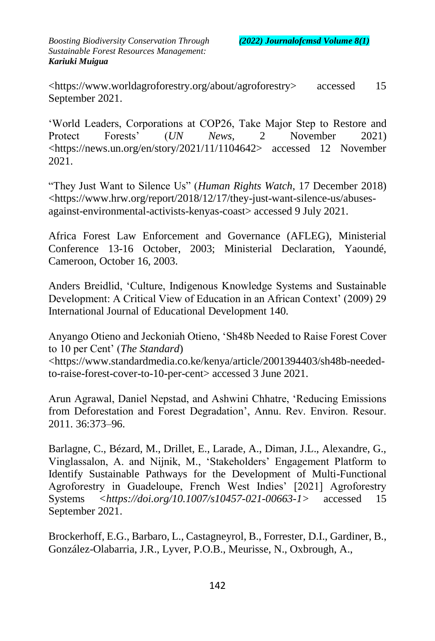<https://www.worldagroforestry.org/about/agroforestry> accessed 15 September 2021.

'World Leaders, Corporations at COP26, Take Major Step to Restore and Protect Forests' (*UN News*, 2 November 2021) <https://news.un.org/en/story/2021/11/1104642> accessed 12 November 2021.

"They Just Want to Silence Us" (*Human Rights Watch*, 17 December 2018) <https://www.hrw.org/report/2018/12/17/they-just-want-silence-us/abusesagainst-environmental-activists-kenyas-coast> accessed 9 July 2021.

Africa Forest Law Enforcement and Governance (AFLEG), Ministerial Conference 13-16 October, 2003; Ministerial Declaration, Yaoundé, Cameroon, October 16, 2003.

Anders Breidlid, 'Culture, Indigenous Knowledge Systems and Sustainable Development: A Critical View of Education in an African Context' (2009) 29 International Journal of Educational Development 140.

Anyango Otieno and Jeckoniah Otieno, 'Sh48b Needed to Raise Forest Cover to 10 per Cent' (*The Standard*)

<https://www.standardmedia.co.ke/kenya/article/2001394403/sh48b-neededto-raise-forest-cover-to-10-per-cent> accessed 3 June 2021.

Arun Agrawal, Daniel Nepstad, and Ashwini Chhatre, 'Reducing Emissions from Deforestation and Forest Degradation', Annu. Rev. Environ. Resour. 2011. 36:373–96.

Barlagne, C., Bézard, M., Drillet, E., Larade, A., Diman, J.L., Alexandre, G., Vinglassalon, A. and Nijnik, M., 'Stakeholders' Engagement Platform to Identify Sustainable Pathways for the Development of Multi-Functional Agroforestry in Guadeloupe, French West Indies' [2021] Agroforestry Systems *<https://doi.org/10.1007/s10457-021-00663-1>* accessed 15 September 2021.

Brockerhoff, E.G., Barbaro, L., Castagneyrol, B., Forrester, D.I., Gardiner, B., González-Olabarria, J.R., Lyver, P.O.B., Meurisse, N., Oxbrough, A.,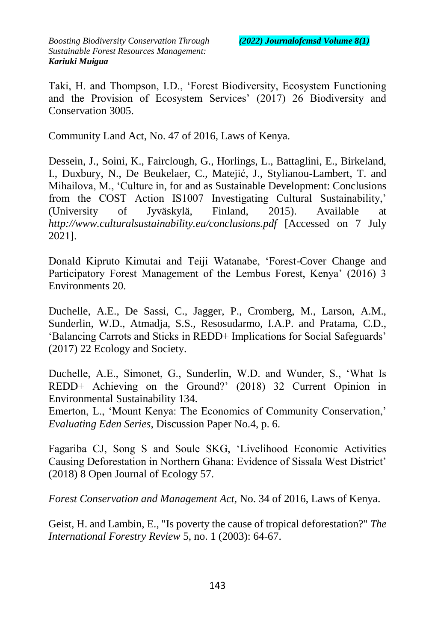Taki, H. and Thompson, I.D., 'Forest Biodiversity, Ecosystem Functioning and the Provision of Ecosystem Services' (2017) 26 Biodiversity and Conservation 3005.

Community Land Act, No. 47 of 2016, Laws of Kenya.

Dessein, J., Soini, K., Fairclough, G., Horlings, L., Battaglini, E., Birkeland, I., Duxbury, N., De Beukelaer, C., Matejić, J., Stylianou-Lambert, T. and Mihailova, M., 'Culture in, for and as Sustainable Development: Conclusions from the COST Action IS1007 Investigating Cultural Sustainability,' (University of Jyväskylä, Finland, 2015). Available at *http://www.culturalsustainability.eu/conclusions.pdf* [Accessed on 7 July 2021].

Donald Kipruto Kimutai and Teiji Watanabe, 'Forest-Cover Change and Participatory Forest Management of the Lembus Forest, Kenya' (2016) 3 Environments 20.

Duchelle, A.E., De Sassi, C., Jagger, P., Cromberg, M., Larson, A.M., Sunderlin, W.D., Atmadja, S.S., Resosudarmo, I.A.P. and Pratama, C.D., 'Balancing Carrots and Sticks in REDD+ Implications for Social Safeguards' (2017) 22 Ecology and Society.

Duchelle, A.E., Simonet, G., Sunderlin, W.D. and Wunder, S., 'What Is REDD+ Achieving on the Ground?' (2018) 32 Current Opinion in Environmental Sustainability 134.

Emerton, L., 'Mount Kenya: The Economics of Community Conservation,' *Evaluating Eden Series*, Discussion Paper No.4, p. 6.

Fagariba CJ, Song S and Soule SKG, 'Livelihood Economic Activities Causing Deforestation in Northern Ghana: Evidence of Sissala West District' (2018) 8 Open Journal of Ecology 57.

*Forest Conservation and Management Act*, No. 34 of 2016, Laws of Kenya.

Geist, H. and Lambin, E., "Is poverty the cause of tropical deforestation?" *The International Forestry Review* 5, no. 1 (2003): 64-67.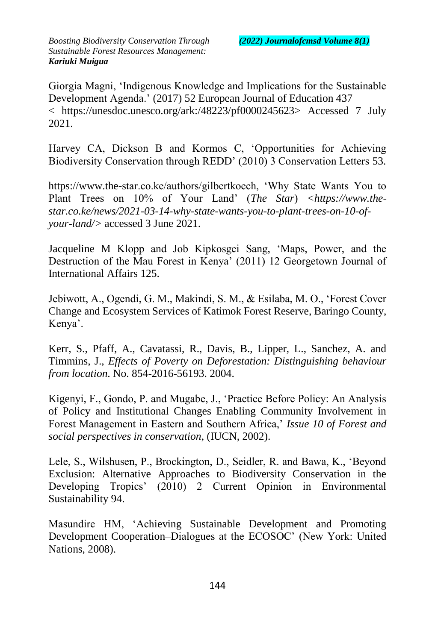Giorgia Magni, 'Indigenous Knowledge and Implications for the Sustainable Development Agenda.' (2017) 52 European Journal of Education 437 < https://unesdoc.unesco.org/ark:/48223/pf0000245623> Accessed 7 July 2021.

Harvey CA, Dickson B and Kormos C, 'Opportunities for Achieving Biodiversity Conservation through REDD' (2010) 3 Conservation Letters 53.

https://www.the-star.co.ke/authors/gilbertkoech, 'Why State Wants You to Plant Trees on 10% of Your Land' (*The Star*) *<https://www.thestar.co.ke/news/2021-03-14-why-state-wants-you-to-plant-trees-on-10-ofyour-land/>* accessed 3 June 2021.

Jacqueline M Klopp and Job Kipkosgei Sang, 'Maps, Power, and the Destruction of the Mau Forest in Kenya' (2011) 12 Georgetown Journal of International Affairs 125.

Jebiwott, A., Ogendi, G. M., Makindi, S. M., & Esilaba, M. O., 'Forest Cover Change and Ecosystem Services of Katimok Forest Reserve, Baringo County, Kenya'.

Kerr, S., Pfaff, A., Cavatassi, R., Davis, B., Lipper, L., Sanchez, A. and Timmins, J., *Effects of Poverty on Deforestation: Distinguishing behaviour from location*. No. 854-2016-56193. 2004.

Kigenyi, F., Gondo, P. and Mugabe, J., 'Practice Before Policy: An Analysis of Policy and Institutional Changes Enabling Community Involvement in Forest Management in Eastern and Southern Africa,' *Issue 10 of Forest and social perspectives in conservation*, (IUCN, 2002).

Lele, S., Wilshusen, P., Brockington, D., Seidler, R. and Bawa, K., 'Beyond Exclusion: Alternative Approaches to Biodiversity Conservation in the Developing Tropics' (2010) 2 Current Opinion in Environmental Sustainability 94.

Masundire HM, 'Achieving Sustainable Development and Promoting Development Cooperation–Dialogues at the ECOSOC' (New York: United Nations, 2008).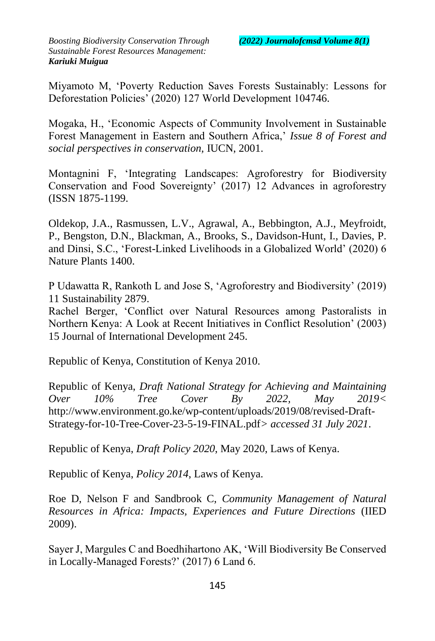Miyamoto M, 'Poverty Reduction Saves Forests Sustainably: Lessons for Deforestation Policies' (2020) 127 World Development 104746.

Mogaka, H., 'Economic Aspects of Community Involvement in Sustainable Forest Management in Eastern and Southern Africa,' *Issue 8 of Forest and social perspectives in conservation,* IUCN, 2001.

Montagnini F, 'Integrating Landscapes: Agroforestry for Biodiversity Conservation and Food Sovereignty' (2017) 12 Advances in agroforestry (ISSN 1875-1199.

Oldekop, J.A., Rasmussen, L.V., Agrawal, A., Bebbington, A.J., Meyfroidt, P., Bengston, D.N., Blackman, A., Brooks, S., Davidson-Hunt, I., Davies, P. and Dinsi, S.C., 'Forest-Linked Livelihoods in a Globalized World' (2020) 6 Nature Plants 1400.

P Udawatta R, Rankoth L and Jose S, 'Agroforestry and Biodiversity' (2019) 11 Sustainability 2879.

Rachel Berger, 'Conflict over Natural Resources among Pastoralists in Northern Kenya: A Look at Recent Initiatives in Conflict Resolution' (2003) 15 Journal of International Development 245.

Republic of Kenya, Constitution of Kenya 2010.

Republic of Kenya, *Draft National Strategy for Achieving and Maintaining Over 10% Tree Cover By 2022, May 2019<*  http://www.environment.go.ke/wp-content/uploads/2019/08/revised-Draft-Strategy-for-10-Tree-Cover-23-5-19-FINAL.pdf*> accessed 31 July 2021*.

Republic of Kenya, *Draft Policy 2020*, May 2020, Laws of Kenya.

Republic of Kenya, *Policy 2014*, Laws of Kenya.

Roe D, Nelson F and Sandbrook C, *Community Management of Natural Resources in Africa: Impacts, Experiences and Future Directions* (IIED 2009).

Sayer J, Margules C and Boedhihartono AK, 'Will Biodiversity Be Conserved in Locally-Managed Forests?' (2017) 6 Land 6.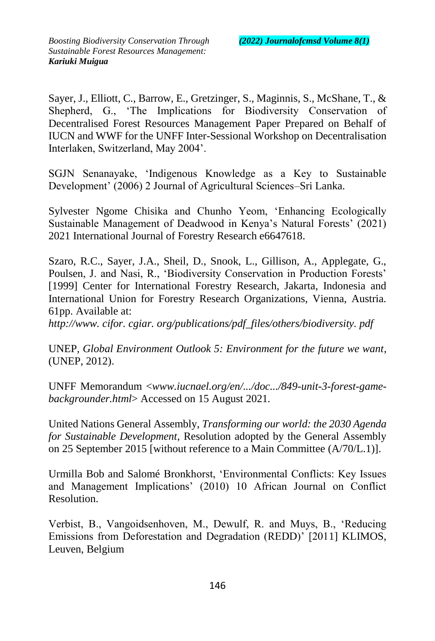Sayer, J., Elliott, C., Barrow, E., Gretzinger, S., Maginnis, S., McShane, T., & Shepherd, G., 'The Implications for Biodiversity Conservation of Decentralised Forest Resources Management Paper Prepared on Behalf of IUCN and WWF for the UNFF Inter-Sessional Workshop on Decentralisation Interlaken, Switzerland, May 2004'.

SGJN Senanayake, 'Indigenous Knowledge as a Key to Sustainable Development' (2006) 2 Journal of Agricultural Sciences–Sri Lanka.

Sylvester Ngome Chisika and Chunho Yeom, 'Enhancing Ecologically Sustainable Management of Deadwood in Kenya's Natural Forests' (2021) 2021 International Journal of Forestry Research e6647618.

Szaro, R.C., Sayer, J.A., Sheil, D., Snook, L., Gillison, A., Applegate, G., Poulsen, J. and Nasi, R., 'Biodiversity Conservation in Production Forests' [1999] Center for International Forestry Research, Jakarta, Indonesia and International Union for Forestry Research Organizations, Vienna, Austria. 61pp. Available at:

*http://www. cifor. cgiar. org/publications/pdf\_files/others/biodiversity. pdf*

UNEP, *Global Environment Outlook 5: Environment for the future we want*, (UNEP, 2012).

UNFF Memorandum <*www.iucnael.org/en/.../doc.../849-unit-3-forest-gamebackgrounder.html*> Accessed on 15 August 2021.

United Nations General Assembly, *Transforming our world: the 2030 Agenda for Sustainable Development*, Resolution adopted by the General Assembly on 25 September 2015 [without reference to a Main Committee (A/70/L.1)].

Urmilla Bob and Salomé Bronkhorst, 'Environmental Conflicts: Key Issues and Management Implications' (2010) 10 African Journal on Conflict Resolution.

Verbist, B., Vangoidsenhoven, M., Dewulf, R. and Muys, B., 'Reducing Emissions from Deforestation and Degradation (REDD)' [2011] KLIMOS, Leuven, Belgium